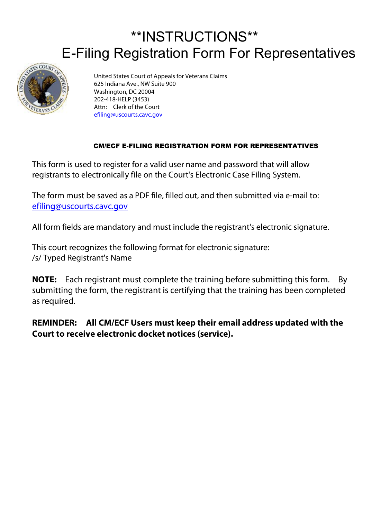## \*\*INSTRUCTIONS\*\* E-Filing Registration Form For Representatives



United States Court of Appeals for Veterans Claims 625 Indiana Ave., NW Suite 900 Washington, DC 20004 202-418-HELP (3453) Attn: Clerk of the Court [efiling@uscourts.cavc.gov](mailto:efiling@uscourts.cavc.gov)

## CM/ECF E-FILING REGISTRATION FORM FOR REPRESENTATIVES

This form is used to register for a valid user name and password that will allow registrants to electronically file on the Court's Electronic Case Filing System.

The form must be saved as a PDF file, filled out, and then submitted via e-mail to: [efiling@uscourts.cavc.gov](mailto:efiling@uscourts.cavc.gov)

All form fields are mandatory and must include the registrant's electronic signature.

This court recognizes the following format for electronic signature: /s/ Typed Registrant's Name

**NOTE:** Each registrant must complete the training before submitting this form. By submitting the form, the registrant is certifying that the training has been completed as required.

**REMINDER: All CM/ECF Users must keep their email address updated with the Court to receive electronic docket notices (service).**